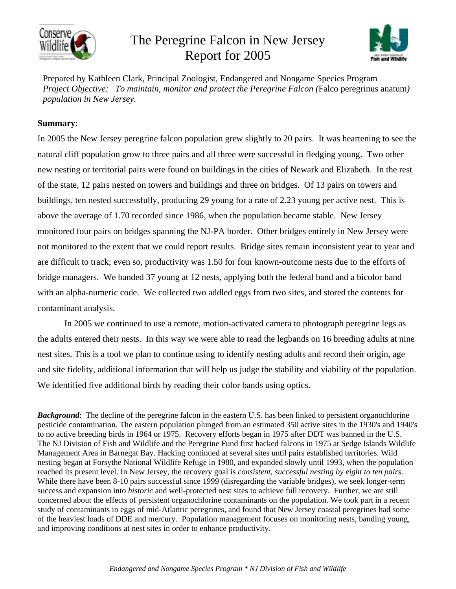

## The Peregrine Falcon in New Jersey Report for 2005



Prepared by Kathleen Clark, Principal Zoologist, Endangered and Nongame Species Program *Project Objective: To maintain, monitor and protect the Peregrine Falcon (*Falco peregrinus anatum*) population in New Jersey.*

## **Summary**:

In 2005 the New Jersey peregrine falcon population grew slightly to 20 pairs. It was heartening to see the natural cliff population grow to three pairs and all three were successful in fledging young. Two other new nesting or territorial pairs were found on buildings in the cities of Newark and Elizabeth. In the rest of the state, 12 pairs nested on towers and buildings and three on bridges. Of 13 pairs on towers and buildings, ten nested successfully, producing 29 young for a rate of 2.23 young per active nest. This is above the average of 1.70 recorded since 1986, when the population became stable. New Jersey monitored four pairs on bridges spanning the NJ-PA border. Other bridges entirely in New Jersey were not monitored to the extent that we could report results. Bridge sites remain inconsistent year to year and are difficult to track; even so, productivity was 1.50 for four known-outcome nests due to the efforts of bridge managers. We banded 37 young at 12 nests, applying both the federal band and a bicolor band with an alpha-numeric code. We collected two addled eggs from two sites, and stored the contents for contaminant analysis.

In 2005 we continued to use a remote, motion-activated camera to photograph peregrine legs as the adults entered their nests. In this way we were able to read the legbands on 16 breeding adults at nine nest sites. This is a tool we plan to continue using to identify nesting adults and record their origin, age and site fidelity, additional information that will help us judge the stability and viability of the population. We identified five additional birds by reading their color bands using optics.

*Background*: The decline of the peregrine falcon in the eastern U.S. has been linked to persistent organochlorine pesticide contamination. The eastern population plunged from an estimated 350 active sites in the 1930's and 1940's to no active breeding birds in 1964 or 1975. Recovery efforts began in 1975 after DDT was banned in the U.S. The NJ Division of Fish and Wildlife and the Peregrine Fund first hacked falcons in 1975 at Sedge Islands Wildlife Management Area in Barnegat Bay. Hacking continued at several sites until pairs established territories. Wild nesting began at Forsythe National Wildlife Refuge in 1980, and expanded slowly until 1993, when the population reached its present level. In New Jersey, the recovery goal is *consistent, successful nesting by eight to ten pairs*. While there have been 8-10 pairs successful since 1999 (disregarding the variable bridges), we seek longer-term success and expansion into *historic* and well-protected nest sites to achieve full recovery. Further, we are still concerned about the effects of persistent organochlorine contaminants on the population. We took part in a recent study of contaminants in eggs of mid-Atlantic peregrines, and found that New Jersey coastal peregrines had some of the heaviest loads of DDE and mercury. Population management focuses on monitoring nests, banding young, and improving conditions at nest sites in order to enhance productivity.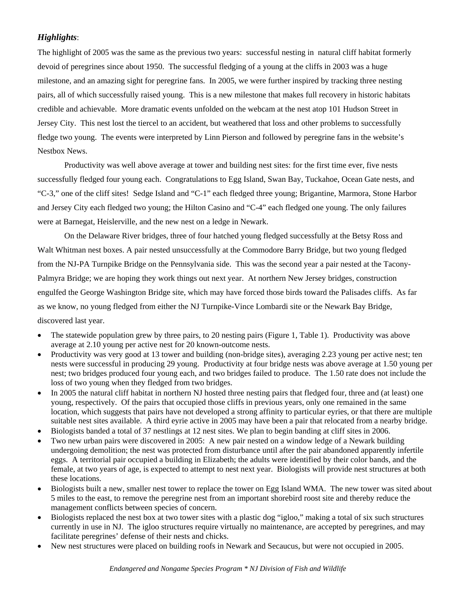## *Highlights*:

The highlight of 2005 was the same as the previous two years: successful nesting in natural cliff habitat formerly devoid of peregrines since about 1950. The successful fledging of a young at the cliffs in 2003 was a huge milestone, and an amazing sight for peregrine fans. In 2005, we were further inspired by tracking three nesting pairs, all of which successfully raised young. This is a new milestone that makes full recovery in historic habitats credible and achievable. More dramatic events unfolded on the webcam at the nest atop 101 Hudson Street in Jersey City. This nest lost the tiercel to an accident, but weathered that loss and other problems to successfully fledge two young. The events were interpreted by Linn Pierson and followed by peregrine fans in the website's Nestbox News.

Productivity was well above average at tower and building nest sites: for the first time ever, five nests successfully fledged four young each. Congratulations to Egg Island, Swan Bay, Tuckahoe, Ocean Gate nests, and "C-3," one of the cliff sites! Sedge Island and "C-1" each fledged three young; Brigantine, Marmora, Stone Harbor and Jersey City each fledged two young; the Hilton Casino and "C-4" each fledged one young. The only failures were at Barnegat, Heislerville, and the new nest on a ledge in Newark.

On the Delaware River bridges, three of four hatched young fledged successfully at the Betsy Ross and Walt Whitman nest boxes. A pair nested unsuccessfully at the Commodore Barry Bridge, but two young fledged from the NJ-PA Turnpike Bridge on the Pennsylvania side. This was the second year a pair nested at the Tacony-Palmyra Bridge; we are hoping they work things out next year. At northern New Jersey bridges, construction engulfed the George Washington Bridge site, which may have forced those birds toward the Palisades cliffs. As far as we know, no young fledged from either the NJ Turnpike-Vince Lombardi site or the Newark Bay Bridge, discovered last year.

- The statewide population grew by three pairs, to 20 nesting pairs (Figure 1, Table 1). Productivity was above average at 2.10 young per active nest for 20 known-outcome nests.
- Productivity was very good at 13 tower and building (non-bridge sites), averaging 2.23 young per active nest; ten nests were successful in producing 29 young. Productivity at four bridge nests was above average at 1.50 young per nest; two bridges produced four young each, and two bridges failed to produce. The 1.50 rate does not include the loss of two young when they fledged from two bridges.
- In 2005 the natural cliff habitat in northern NJ hosted three nesting pairs that fledged four, three and (at least) one young, respectively. Of the pairs that occupied those cliffs in previous years, only one remained in the same location, which suggests that pairs have not developed a strong affinity to particular eyries, or that there are multiple suitable nest sites available. A third eyrie active in 2005 may have been a pair that relocated from a nearby bridge.
- Biologists banded a total of 37 nestlings at 12 nest sites. We plan to begin banding at cliff sites in 2006.
- Two new urban pairs were discovered in 2005: A new pair nested on a window ledge of a Newark building undergoing demolition; the nest was protected from disturbance until after the pair abandoned apparently infertile eggs. A territorial pair occupied a building in Elizabeth; the adults were identified by their color bands, and the female, at two years of age, is expected to attempt to nest next year. Biologists will provide nest structures at both these locations.
- Biologists built a new, smaller nest tower to replace the tower on Egg Island WMA. The new tower was sited about 5 miles to the east, to remove the peregrine nest from an important shorebird roost site and thereby reduce the management conflicts between species of concern.
- Biologists replaced the nest box at two tower sites with a plastic dog "igloo," making a total of six such structures currently in use in NJ. The igloo structures require virtually no maintenance, are accepted by peregrines, and may facilitate peregrines' defense of their nests and chicks.
- New nest structures were placed on building roofs in Newark and Secaucus, but were not occupied in 2005.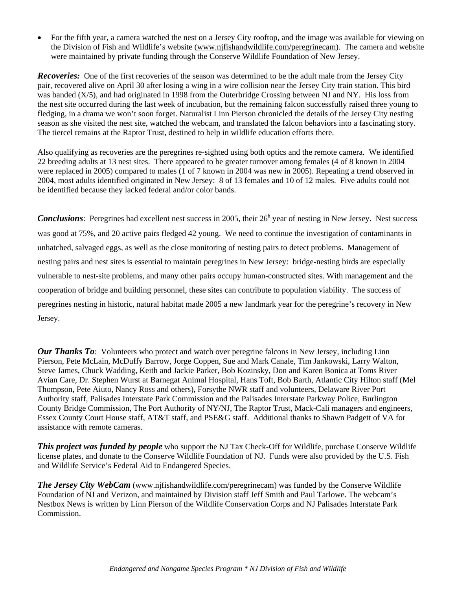• For the fifth year, a camera watched the nest on a Jersey City rooftop, and the image was available for viewing on the Division of Fish and Wildlife's website (www.njfishandwildlife.com/peregrinecam). The camera and website were maintained by private funding through the Conserve Wildlife Foundation of New Jersey.

*Recoveries:* One of the first recoveries of the season was determined to be the adult male from the Jersey City pair, recovered alive on April 30 after losing a wing in a wire collision near the Jersey City train station. This bird was banded (X/5), and had originated in 1998 from the Outerbridge Crossing between NJ and NY. His loss from the nest site occurred during the last week of incubation, but the remaining falcon successfully raised three young to fledging, in a drama we won't soon forget. Naturalist Linn Pierson chronicled the details of the Jersey City nesting season as she visited the nest site, watched the webcam, and translated the falcon behaviors into a fascinating story. The tiercel remains at the Raptor Trust, destined to help in wildlife education efforts there.

Also qualifying as recoveries are the peregrines re-sighted using both optics and the remote camera. We identified 22 breeding adults at 13 nest sites. There appeared to be greater turnover among females (4 of 8 known in 2004 were replaced in 2005) compared to males (1 of 7 known in 2004 was new in 2005). Repeating a trend observed in 2004, most adults identified originated in New Jersey: 8 of 13 females and 10 of 12 males. Five adults could not be identified because they lacked federal and/or color bands.

Conclusions: Peregrines had excellent nest success in 2005, their 26<sup>h</sup> year of nesting in New Jersey. Nest success was good at 75%, and 20 active pairs fledged 42 young. We need to continue the investigation of contaminants in unhatched, salvaged eggs, as well as the close monitoring of nesting pairs to detect problems. Management of nesting pairs and nest sites is essential to maintain peregrines in New Jersey: bridge-nesting birds are especially vulnerable to nest-site problems, and many other pairs occupy human-constructed sites. With management and the cooperation of bridge and building personnel, these sites can contribute to population viability. The success of peregrines nesting in historic, natural habitat made 2005 a new landmark year for the peregrine's recovery in New Jersey.

*Our Thanks To*: Volunteers who protect and watch over peregrine falcons in New Jersey, including Linn Pierson, Pete McLain, McDuffy Barrow, Jorge Coppen, Sue and Mark Canale, Tim Jankowski, Larry Walton, Steve James, Chuck Wadding, Keith and Jackie Parker, Bob Kozinsky, Don and Karen Bonica at Toms River Avian Care, Dr. Stephen Wurst at Barnegat Animal Hospital, Hans Toft, Bob Barth, Atlantic City Hilton staff (Mel Thompson, Pete Aiuto, Nancy Ross and others), Forsythe NWR staff and volunteers, Delaware River Port Authority staff, Palisades Interstate Park Commission and the Palisades Interstate Parkway Police, Burlington County Bridge Commission, The Port Authority of NY/NJ, The Raptor Trust, Mack-Cali managers and engineers, Essex County Court House staff, AT&T staff, and PSE&G staff. Additional thanks to Shawn Padgett of VA for assistance with remote cameras.

*This project was funded by people* who support the NJ Tax Check-Off for Wildlife, purchase Conserve Wildlife license plates, and donate to the Conserve Wildlife Foundation of NJ. Funds were also provided by the U.S. Fish and Wildlife Service's Federal Aid to Endangered Species.

*The Jersey City WebCam* (www.njfishandwildlife.com/peregrinecam) was funded by the Conserve Wildlife Foundation of NJ and Verizon, and maintained by Division staff Jeff Smith and Paul Tarlowe. The webcam's Nestbox News is written by Linn Pierson of the Wildlife Conservation Corps and NJ Palisades Interstate Park Commission.